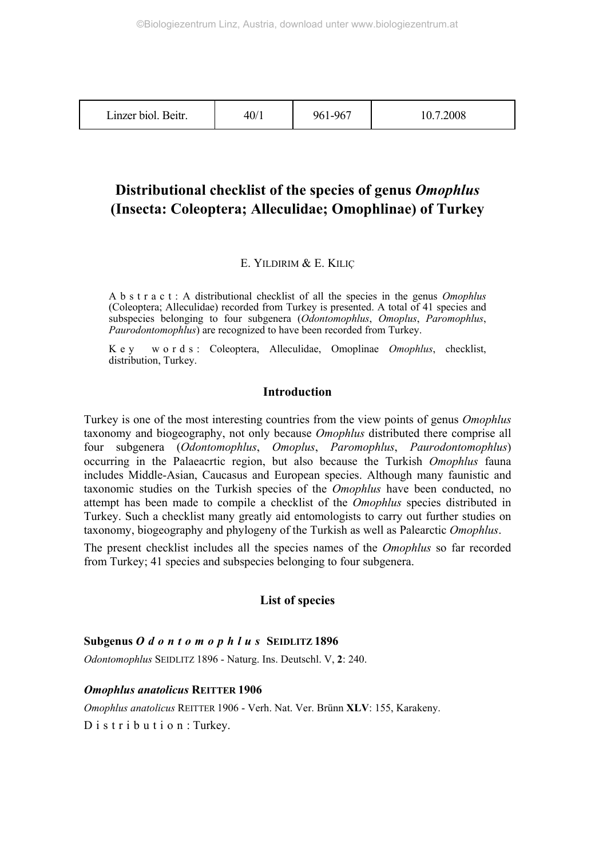| Linzer biol. Beitr. | 40/1 | 961-967 | 10.7.2008 |
|---------------------|------|---------|-----------|
|---------------------|------|---------|-----------|

## **Distributional checklist of the species of genus** *Omophlus* **(Insecta: Coleoptera; Alleculidae; Omophlinae) of Turkey**

## E. YILDIRIM & E. KILIÇ

A b s t r a c t : A distributional checklist of all the species in the genus *Omophlus* (Coleoptera; Alleculidae) recorded from Turkey is presented. A total of 41 species and subspecies belonging to four subgenera (*Odontomophlus*, *Omoplus*, *Paromophlus*, *Paurodontomophlus*) are recognized to have been recorded from Turkey.

K e y w o r d s : Coleoptera, Alleculidae, Omoplinae *Omophlus*, checklist, distribution, Turkey.

## **Introduction**

Turkey is one of the most interesting countries from the view points of genus *Omophlus* taxonomy and biogeography, not only because *Omophlus* distributed there comprise all four subgenera (*Odontomophlus*, *Omoplus*, *Paromophlus*, *Paurodontomophlus*) occurring in the Palaeacrtic region, but also because the Turkish *Omophlus* fauna includes Middle-Asian, Caucasus and European species. Although many faunistic and taxonomic studies on the Turkish species of the *Omophlus* have been conducted, no attempt has been made to compile a checklist of the *Omophlus* species distributed in Turkey. Such a checklist many greatly aid entomologists to carry out further studies on taxonomy, biogeography and phylogeny of the Turkish as well as Palearctic *Omophlus*.

The present checklist includes all the species names of the *Omophlus* so far recorded from Turkey; 41 species and subspecies belonging to four subgenera.

## **List of species**

## **Subgenus** *Odontomophlus* **SEIDLITZ 1896**

*Odontomophlus* SEIDLITZ 1896 - Naturg. Ins. Deutschl. V, **2**: 240.

#### *Omophlus anatolicus* **REITTER 1906**

*Omophlus anatolicus* REITTER 1906 - Verh. Nat. Ver. Brünn **XLV**: 155, Karakeny. D i s t r i b u t i o n : Turkey.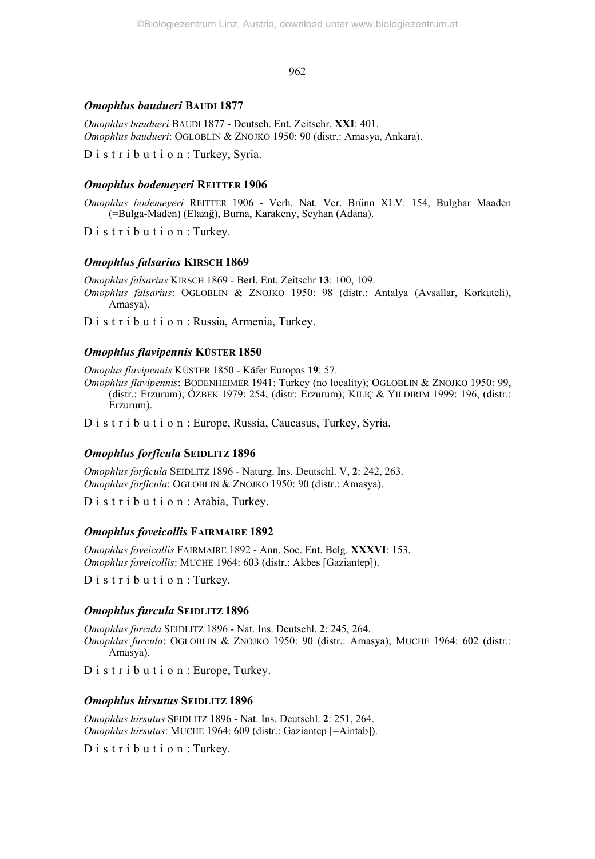#### *Omophlus baudueri* **BAUDI 1877**

*Omophlus baudueri* BAUDI 1877 - Deutsch. Ent. Zeitschr. **XXI**: 401. *Omophlus baudueri*: OGLOBLIN & ZNOJKO 1950: 90 (distr.: Amasya, Ankara).

D i s t r i b u t i o n : Turkey, Syria.

## *Omophlus bodemeyeri* **REITTER 1906**

*Omophlus bodemeyeri* REITTER 1906 - Verh. Nat. Ver. Brünn XLV: 154, Bulghar Maaden (=Bulga-Maden) (Elazığ), Burna, Karakeny, Seyhan (Adana).

D is tribution: Turkey.

#### *Omophlus falsarius* **KIRSCH 1869**

*Omophlus falsarius* KIRSCH 1869 - Berl. Ent. Zeitschr **13**: 100, 109. *Omophlus falsarius*: OGLOBLIN & ZNOJKO 1950: 98 (distr.: Antalya (Avsallar, Korkuteli), Amasya).

D i s t r i b u t i o n : Russia, Armenia, Turkey.

## *Omophlus flavipennis* **KÜSTER 1850**

*Omoplus flavipennis* KÜSTER 1850 - Käfer Europas **19**: 57.

*Omophlus flavipennis*: BODENHEIMER 1941: Turkey (no locality); OGLOBLIN & ZNOJKO 1950: 99, (distr.: Erzurum); ÖZBEK 1979: 254, (distr: Erzurum); KILIÇ & YILDIRIM 1999: 196, (distr.: Erzurum).

D i s t r i b u t i o n : Europe, Russia, Caucasus, Turkey, Syria.

## *Omophlus forficula* **SEIDLITZ 1896**

*Omophlus forficula* SEIDLITZ 1896 - Naturg. Ins. Deutschl. V, **2**: 242, 263. *Omophlus forficula*: OGLOBLIN & ZNOJKO 1950: 90 (distr.: Amasya).

D i s t r i b u t i o n : Arabia, Turkey.

#### *Omophlus foveicollis* **FAIRMAIRE 1892**

*Omophlus foveicollis* FAIRMAIRE 1892 - Ann. Soc. Ent. Belg. **XXXVI**: 153. *Omophlus foveicollis*: MUCHE 1964: 603 (distr.: Akbes [Gaziantep]).

D i s t r i b u t i o n : Turkey.

## *Omophlus furcula* **SEIDLITZ 1896**

*Omophlus furcula* SEIDLITZ 1896 - Nat. Ins. Deutschl. **2**: 245, 264. *Omophlus furcula*: OGLOBLIN & ZNOJKO 1950: 90 (distr.: Amasya); MUCHE 1964: 602 (distr.: Amasya).

D i s t r i b u t i o n : Europe, Turkey.

## *Omophlus hirsutus* **SEIDLITZ 1896**

*Omophlus hirsutus* SEIDLITZ 1896 - Nat. Ins. Deutschl. **2**: 251, 264. *Omophlus hirsutus*: MUCHE 1964: 609 (distr.: Gaziantep [=Aintab]).

D is tribution: Turkey.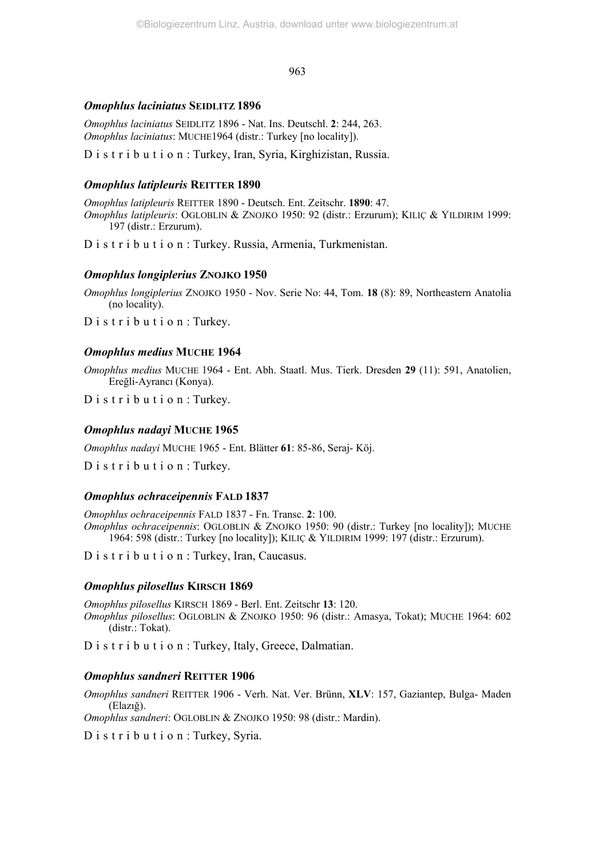#### *Omophlus laciniatus* **SEIDLITZ 1896**

*Omophlus laciniatus* SEIDLITZ 1896 - Nat. Ins. Deutschl. **2**: 244, 263. *Omophlus laciniatus*: MUCHE1964 (distr.: Turkey [no locality]).

D i s t r i b u t i o n : Turkey, Iran, Syria, Kirghizistan, Russia.

## *Omophlus latipleuris* **REITTER 1890**

*Omophlus latipleuris* REITTER 1890 - Deutsch. Ent. Zeitschr. **1890**: 47. *Omophlus latipleuris*: OGLOBLIN & ZNOJKO 1950: 92 (distr.: Erzurum); KILIÇ & YILDIRIM 1999: 197 (distr.: Erzurum).

D i s t r i b u t i o n : Turkey. Russia, Armenia, Turkmenistan.

#### *Omophlus longiplerius* **ZNOJKO 1950**

*Omophlus longiplerius* ZNOJKO 1950 - Nov. Serie No: 44, Tom. **18** (8): 89, Northeastern Anatolia (no locality).

D i s t r i b u t i o n : Turkey.

## *Omophlus medius* **MUCHE 1964**

*Omophlus medius* MUCHE 1964 - Ent. Abh. Staatl. Mus. Tierk. Dresden **29** (11): 591, Anatolien, Ereğli-Ayrancı (Konya).

D i s t r i b u t i o n : Turkey.

## *Omophlus nadayi* **MUCHE 1965**

*Omophlus nadayi* MUCHE 1965 - Ent. Blätter **61**: 85-86, Seraj- Köj.

D i s t r i b u t i o n : Turkey.

## *Omophlus ochraceipennis* **FALD 1837**

*Omophlus ochraceipennis* FALD 1837 - Fn. Transc. **2**: 100. *Omophlus ochraceipennis*: OGLOBLIN & ZNOJKO 1950: 90 (distr.: Turkey [no locality]); MUCHE 1964: 598 (distr.: Turkey [no locality]); KILIÇ & YILDIRIM 1999: 197 (distr.: Erzurum).

D i s t r i b u t i o n : Turkey, Iran, Caucasus.

## *Omophlus pilosellus* **KIRSCH 1869**

*Omophlus pilosellus* KIRSCH 1869 - Berl. Ent. Zeitschr **13**: 120. *Omophlus pilosellus*: OGLOBLIN & ZNOJKO 1950: 96 (distr.: Amasya, Tokat); MUCHE 1964: 602 (distr.: Tokat).

D i s t r i b u t i o n : Turkey, Italy, Greece, Dalmatian.

#### *Omophlus sandneri* **REITTER 1906**

*Omophlus sandneri* REITTER 1906 - Verh. Nat. Ver. Brünn, **XLV**: 157, Gaziantep, Bulga- Maden (Elazığ).

*Omophlus sandneri*: OGLOBLIN & ZNOJKO 1950: 98 (distr.: Mardin).

D i s t r i b u t i o n : Turkey, Syria.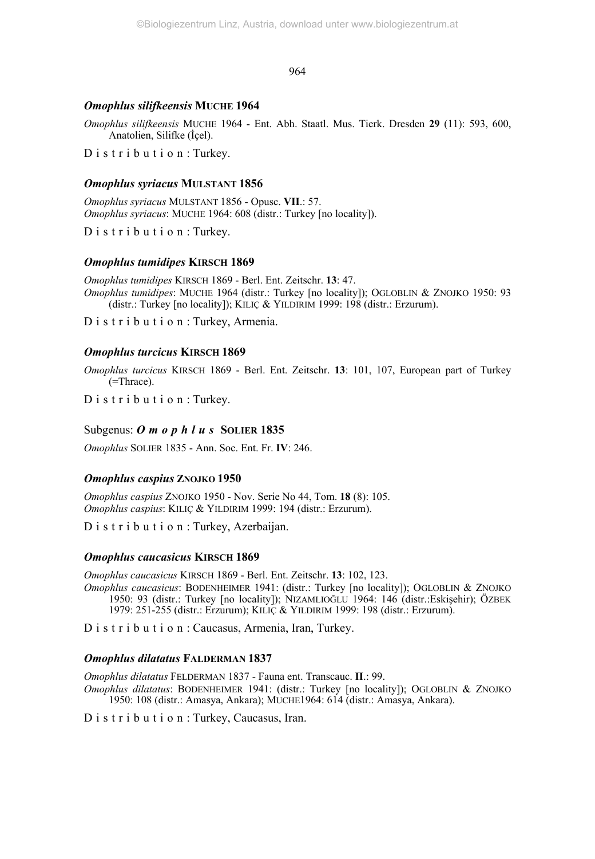## *Omophlus silifkeensis* **MUCHE 1964**

*Omophlus silifkeensis* MUCHE 1964 - Ent. Abh. Staatl. Mus. Tierk. Dresden **29** (11): 593, 600, Anatolien, Silifke (İçel).

D i s t r i b u t i o n : Turkey.

## *Omophlus syriacus* **MULSTANT 1856**

*Omophlus syriacus* MULSTANT 1856 - Opusc. **VII**.: 57. *Omophlus syriacus*: MUCHE 1964: 608 (distr.: Turkey [no locality]).

D is tribution: Turkey.

## *Omophlus tumidipes* **KIRSCH 1869**

*Omophlus tumidipes* KIRSCH 1869 - Berl. Ent. Zeitschr. **13**: 47. *Omophlus tumidipes*: MUCHE 1964 (distr.: Turkey [no locality]); OGLOBLIN & ZNOJKO 1950: 93 (distr.: Turkey [no locality]); KILIÇ & YILDIRIM 1999: 198 (distr.: Erzurum).

D i s t r i b u t i o n : Turkey, Armenia.

## *Omophlus turcicus* **KIRSCH 1869**

*Omophlus turcicus* KIRSCH 1869 - Berl. Ent. Zeitschr. **13**: 101, 107, European part of Turkey (=Thrace).

D i s t r i b u t i o n : Turkey.

## Subgenus: *O m o p h l u s* SOLIER 1835

*Omophlus* SOLIER 1835 - Ann. Soc. Ent. Fr. **IV**: 246.

#### *Omophlus caspius* **ZNOJKO 1950**

*Omophlus caspius* ZNOJKO 1950 - Nov. Serie No 44, Tom. **18** (8): 105. *Omophlus caspius*: KILIÇ & YILDIRIM 1999: 194 (distr.: Erzurum).

D i s t r i b u t i o n : Turkey, Azerbaijan.

#### *Omophlus caucasicus* **KIRSCH 1869**

*Omophlus caucasicus* KIRSCH 1869 - Berl. Ent. Zeitschr. **13**: 102, 123.

*Omophlus caucasicus*: BODENHEIMER 1941: (distr.: Turkey [no locality]); OGLOBLIN & ZNOJKO 1950: 93 (distr.: Turkey [no locality]); NIZAMLIOĞLU 1964: 146 (distr.:Eskişehir); ÖZBEK 1979: 251-255 (distr.: Erzurum); KILIÇ & YILDIRIM 1999: 198 (distr.: Erzurum).

D i s t r i b u t i o n : Caucasus, Armenia, Iran, Turkey.

#### *Omophlus dilatatus* **FALDERMAN 1837**

*Omophlus dilatatus* FELDERMAN 1837 - Fauna ent. Transcauc. **II**.: 99.

*Omophlus dilatatus*: BODENHEIMER 1941: (distr.: Turkey [no locality]); OGLOBLIN & ZNOJKO 1950: 108 (distr.: Amasya, Ankara); MUCHE1964: 614 (distr.: Amasya, Ankara).

D i s t r i b u t i o n : Turkey, Caucasus, Iran.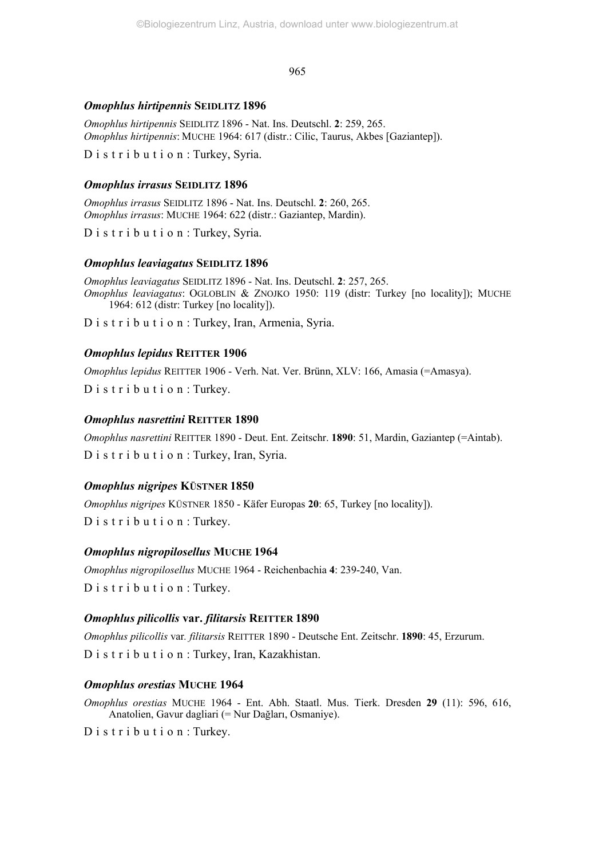## *Omophlus hirtipennis* **SEIDLITZ 1896**

*Omophlus hirtipennis* SEIDLITZ 1896 - Nat. Ins. Deutschl. **2**: 259, 265. *Omophlus hirtipennis*: MUCHE 1964: 617 (distr.: Cilic, Taurus, Akbes [Gaziantep]).

D i s t r i b u t i o n : Turkey, Syria.

## *Omophlus irrasus* **SEIDLITZ 1896**

*Omophlus irrasus* SEIDLITZ 1896 - Nat. Ins. Deutschl. **2**: 260, 265. *Omophlus irrasus*: MUCHE 1964: 622 (distr.: Gaziantep, Mardin).

D i s t r i b u t i o n : Turkey, Syria.

## *Omophlus leaviagatus* **SEIDLITZ 1896**

*Omophlus leaviagatus* SEIDLITZ 1896 - Nat. Ins. Deutschl. **2**: 257, 265. *Omophlus leaviagatus*: OGLOBLIN & ZNOJKO 1950: 119 (distr: Turkey [no locality]); MUCHE 1964: 612 (distr: Turkey [no locality]).

D i s t r i b u t i o n : Turkey, Iran, Armenia, Syria.

## *Omophlus lepidus* **REITTER 1906**

*Omophlus lepidus* REITTER 1906 - Verh. Nat. Ver. Brünn, XLV: 166, Amasia (=Amasya). D i s t r i b u t i o n : Turkey.

## *Omophlus nasrettini* **REITTER 1890**

*Omophlus nasrettini* REITTER 1890 - Deut. Ent. Zeitschr. **1890**: 51, Mardin, Gaziantep (=Aintab). D i s t r i b u t i o n : Turkey, Iran, Syria.

## *Omophlus nigripes* **KÜSTNER 1850**

*Omophlus nigripes* KÜSTNER 1850 - Käfer Europas **20**: 65, Turkey [no locality]). D i s t r i b u t i o n : Turkey.

## *Omophlus nigropilosellus* **MUCHE 1964**

*Omophlus nigropilosellus* MUCHE 1964 - Reichenbachia **4**: 239-240, Van. D i s t r i b u t i o n : Turkey.

## *Omophlus pilicollis* **var.** *filitarsis* **REITTER 1890**

*Omophlus pilicollis* var*. filitarsis* REITTER 1890 - Deutsche Ent. Zeitschr. **1890**: 45, Erzurum. D i s t r i b u t i o n : Turkey, Iran, Kazakhistan.

## *Omophlus orestias* **MUCHE 1964**

*Omophlus orestias* MUCHE 1964 - Ent. Abh. Staatl. Mus. Tierk. Dresden **29** (11): 596, 616, Anatolien, Gavur dagliari (= Nur Dağları, Osmaniye).

D i s t r i b u t i o n : Turkey.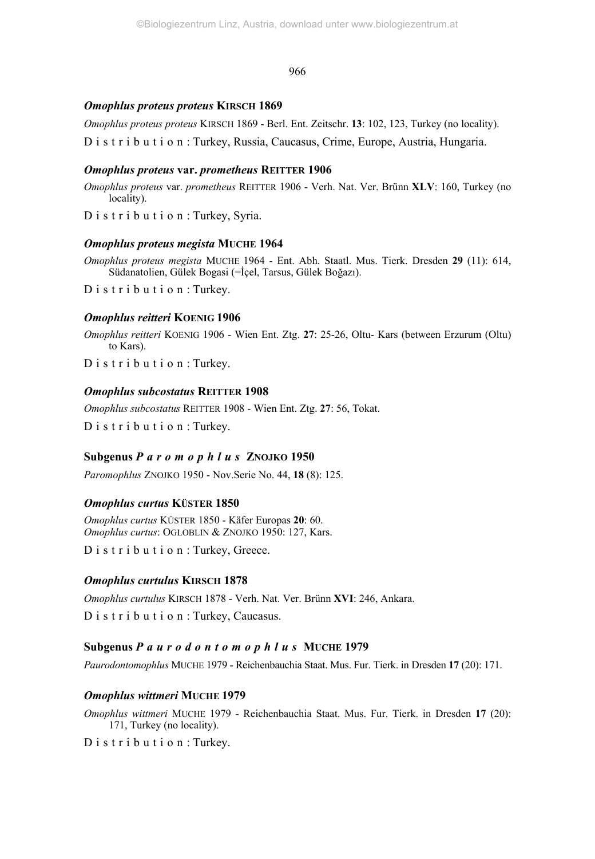### *Omophlus proteus proteus* **KIRSCH 1869**

*Omophlus proteus proteus* KIRSCH 1869 - Berl. Ent. Zeitschr. **13**: 102, 123, Turkey (no locality).

D i s t r i b u t i o n : Turkey, Russia, Caucasus, Crime, Europe, Austria, Hungaria.

## *Omophlus proteus* **var.** *prometheus* **REITTER 1906**

*Omophlus proteus* var. *prometheus* REITTER 1906 - Verh. Nat. Ver. Brünn **XLV**: 160, Turkey (no locality).

D i s t r i b u t i o n : Turkey, Syria.

## *Omophlus proteus megista* **MUCHE 1964**

*Omophlus proteus megista* MUCHE 1964 - Ent. Abh. Staatl. Mus. Tierk. Dresden **29** (11): 614, Südanatolien, Gülek Bogasi (=İçel, Tarsus, Gülek Boğazı).

D i s t r i b u t i o n : Turkey.

## *Omophlus reitteri* **KOENIG 1906**

*Omophlus reitteri* KOENIG 1906 - Wien Ent. Ztg. **27**: 25-26, Oltu- Kars (between Erzurum (Oltu) to Kars).

D i s t r i b u t i o n : Turkey.

## *Omophlus subcostatus* **REITTER 1908**

*Omophlus subcostatus* REITTER 1908 - Wien Ent. Ztg. **27**: 56, Tokat.

D i s t r i b u t i o n : Turkey.

## **Subgenus** *Paromophlus* **ZNOJKO 1950**

*Paromophlus* ZNOJKO 1950 - Nov.Serie No. 44, **18** (8): 125.

## *Omophlus curtus* **KÜSTER 1850**

*Omophlus curtus* KÜSTER 1850 - Käfer Europas **20**: 60. *Omophlus curtus*: OGLOBLIN & ZNOJKO 1950: 127, Kars.

D i s t r i b u t i o n : Turkey, Greece.

## *Omophlus curtulus* **KIRSCH 1878**

*Omophlus curtulus* KIRSCH 1878 - Verh. Nat. Ver. Brünn **XVI**: 246, Ankara.

D i s t r i b u t i o n : Turkey, Caucasus.

## **Subgenus** *Paurodontomophlus* **MUCHE 1979**

*Paurodontomophlus* MUCHE 1979 - Reichenbauchia Staat. Mus. Fur. Tierk. in Dresden **17** (20): 171.

## *Omophlus wittmeri* **MUCHE 1979**

*Omophlus wittmeri* MUCHE 1979 - Reichenbauchia Staat. Mus. Fur. Tierk. in Dresden **17** (20): 171, Turkey (no locality).

D is tribution: Turkey.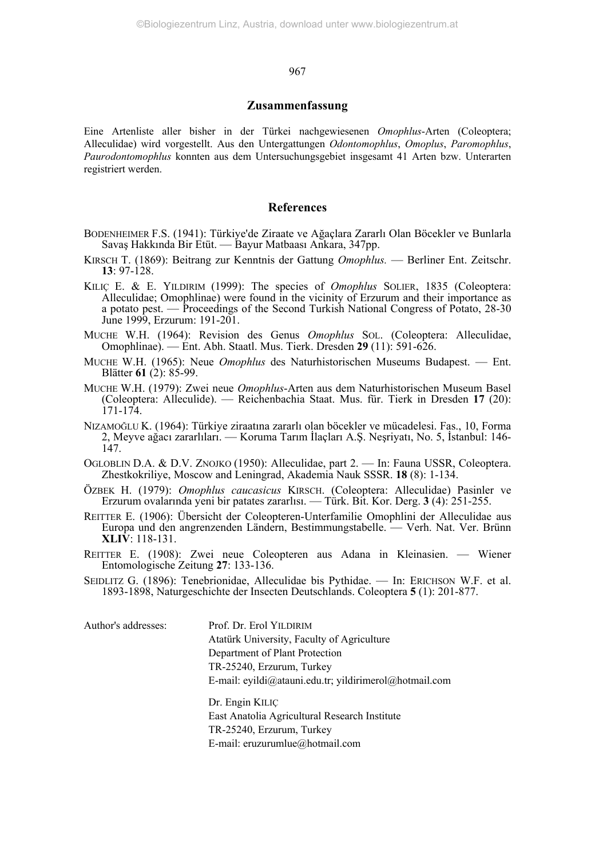#### **Zusammenfassung**

Eine Artenliste aller bisher in der Türkei nachgewiesenen *Omophlus*-Arten (Coleoptera; Alleculidae) wird vorgestellt. Aus den Untergattungen *Odontomophlus*, *Omoplus*, *Paromophlus*, *Paurodontomophlus* konnten aus dem Untersuchungsgebiet insgesamt 41 Arten bzw. Unterarten registriert werden.

## **References**

- BODENHEIMER F.S. (1941): Türkiye'de Ziraate ve Ağaçlara Zararlı Olan Böcekler ve Bunlarla Savaş Hakkında Bir Etüt. — Bayur Matbaası Ankara, 347pp.
- KIRSCH T. (1869): Beitrang zur Kenntnis der Gattung *Omophlus.* Berliner Ent. Zeitschr. **13**: 97-128.
- KILIÇ E. & E. YILDIRIM (1999): The species of *Omophlus* SOLIER, 1835 (Coleoptera: Alleculidae; Omophlinae) were found in the vicinity of Erzurum and their importance as a potato pest. — Proceedings of the Second Turkish National Congress of Potato, 28-30 June 1999, Erzurum: 191-201.
- MUCHE W.H. (1964): Revision des Genus *Omophlus* SOL. (Coleoptera: Alleculidae, Omophlinae). — Ent. Abh. Staatl. Mus. Tierk. Dresden **29** (11): 591-626.
- MUCHE W.H. (1965): Neue *Omophlus* des Naturhistorischen Museums Budapest. Ent. Blätter **61** (2): 85-99.
- MUCHE W.H. (1979): Zwei neue *Omophlus*-Arten aus dem Naturhistorischen Museum Basel (Coleoptera: Alleculide). — Reichenbachia Staat. Mus. für. Tierk in Dresden **17** (20): 171-174.
- NIZAMOĞLU K. (1964): Türkiye ziraatına zararlı olan böcekler ve mücadelesi. Fas., 10, Forma 2, Meyve ağacı zararlıları. — Koruma Tarım İlaçları A.Ş. Neşriyatı, No. 5, İstanbul: 146- 147.
- OGLOBLIN D.A. & D.V. ZNOJKO (1950): Alleculidae, part 2. In: Fauna USSR, Coleoptera. Zhestkokriliye, Moscow and Leningrad, Akademia Nauk SSSR. **18** (8): 1-134.
- ÖZBEK H. (1979): *Omophlus caucasicus* KIRSCH. (Coleoptera: Alleculidae) Pasinler ve Erzurum ovalarında yeni bir patates zararlısı. — Türk. Bit. Kor. Derg. **3** (4): 251-255.
- REITTER E. (1906): Übersicht der Coleopteren-Unterfamilie Omophlini der Alleculidae aus Europa und den angrenzenden Ländern, Bestimmungstabelle. — Verh. Nat. Ver. Brünn **XLIV**: 118-131.
- REITTER E. (1908): Zwei neue Coleopteren aus Adana in Kleinasien. Wiener Entomologische Zeitung **27**: 133-136.
- SEIDLITZ G. (1896): Tenebrionidae, Alleculidae bis Pythidae. In: ERICHSON W.F. et al. 1893-1898, Naturgeschichte der Insecten Deutschlands. Coleoptera **5** (1): 201-877.

Author's addresses: Prof. Dr. Erol YILDIRIM Atatürk University, Faculty of Agriculture Department of Plant Protection TR-25240, Erzurum, Turkey E-mail: eyildi@atauni.edu.tr; yildirimerol@hotmail.com Dr. Engin KILIÇ East Anatolia Agricultural Research Institute TR-25240, Erzurum, Turkey E-mail: eruzurumlue@hotmail.com